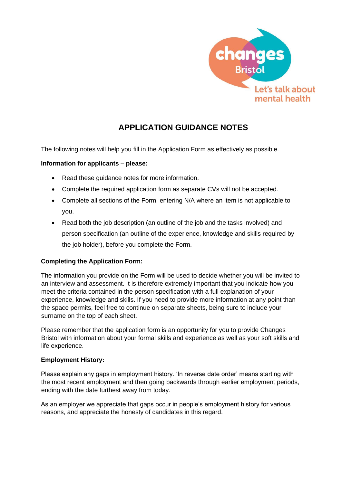

# **APPLICATION GUIDANCE NOTES**

The following notes will help you fill in the Application Form as effectively as possible.

# **Information for applicants – please:**

- Read these guidance notes for more information.
- Complete the required application form as separate CVs will not be accepted.
- Complete all sections of the Form, entering N/A where an item is not applicable to you.
- Read both the job description (an outline of the job and the tasks involved) and person specification (an outline of the experience, knowledge and skills required by the job holder), before you complete the Form.

#### **Completing the Application Form:**

The information you provide on the Form will be used to decide whether you will be invited to an interview and assessment. It is therefore extremely important that you indicate how you meet the criteria contained in the person specification with a full explanation of your experience, knowledge and skills. If you need to provide more information at any point than the space permits, feel free to continue on separate sheets, being sure to include your surname on the top of each sheet.

Please remember that the application form is an opportunity for you to provide Changes Bristol with information about your formal skills and experience as well as your soft skills and life experience.

#### **Employment History:**

Please explain any gaps in employment history. 'In reverse date order' means starting with the most recent employment and then going backwards through earlier employment periods, ending with the date furthest away from today.

As an employer we appreciate that gaps occur in people's employment history for various reasons, and appreciate the honesty of candidates in this regard.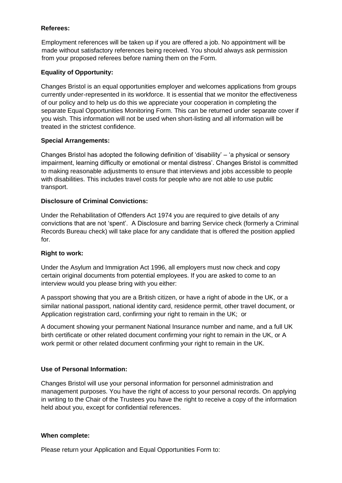### **Referees:**

Employment references will be taken up if you are offered a job. No appointment will be made without satisfactory references being received. You should always ask permission from your proposed referees before naming them on the Form.

# **Equality of Opportunity:**

Changes Bristol is an equal opportunities employer and welcomes applications from groups currently under-represented in its workforce. It is essential that we monitor the effectiveness of our policy and to help us do this we appreciate your cooperation in completing the separate Equal Opportunities Monitoring Form. This can be returned under separate cover if you wish. This information will not be used when short-listing and all information will be treated in the strictest confidence.

# **Special Arrangements:**

Changes Bristol has adopted the following definition of 'disability' – 'a physical or sensory impairment, learning difficulty or emotional or mental distress'. Changes Bristol is committed to making reasonable adjustments to ensure that interviews and jobs accessible to people with disabilities. This includes travel costs for people who are not able to use public transport.

# **Disclosure of Criminal Convictions:**

Under the Rehabilitation of Offenders Act 1974 you are required to give details of any convictions that are not 'spent'. A Disclosure and barring Service check (formerly a Criminal Records Bureau check) will take place for any candidate that is offered the position applied for.

#### **Right to work:**

Under the Asylum and Immigration Act 1996, all employers must now check and copy certain original documents from potential employees. If you are asked to come to an interview would you please bring with you either:

A passport showing that you are a British citizen, or have a right of abode in the UK, or a similar national passport, national identity card, residence permit, other travel document, or Application registration card, confirming your right to remain in the UK; or

A document showing your permanent National Insurance number and name, and a full UK birth certificate or other related document confirming your right to remain in the UK, or A work permit or other related document confirming your right to remain in the UK.

# **Use of Personal Information:**

Changes Bristol will use your personal information for personnel administration and management purposes. You have the right of access to your personal records. On applying in writing to the Chair of the Trustees you have the right to receive a copy of the information held about you, except for confidential references.

#### **When complete:**

Please return your Application and Equal Opportunities Form to: